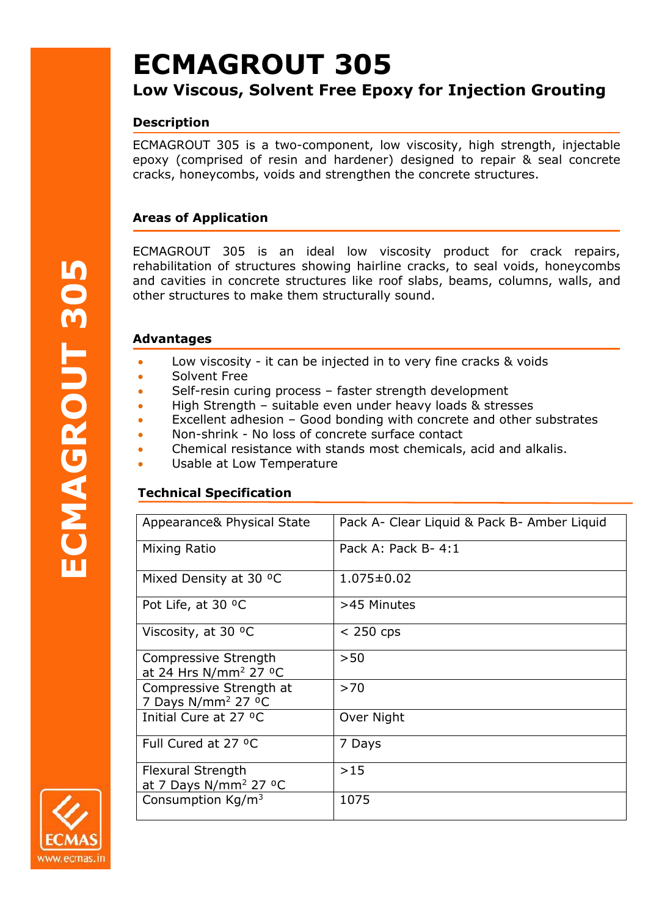# **ECMAGROUT 305**

# **Low Viscous, Solvent Free Epoxy for Injection Grouting**

# **Description**

ECMAGROUT 305 is a two-component, low viscosity, high strength, injectable epoxy (comprised of resin and hardener) designed to repair & seal concrete cracks, honeycombs, voids and strengthen the concrete structures.

# **Areas of Application**

ECMAGROUT 305 is an ideal low viscosity product for crack repairs, rehabilitation of structures showing hairline cracks, to seal voids, honeycombs and cavities in concrete structures like roof slabs, beams, columns, walls, and other structures to make them structurally sound.

#### **Advantages**

- Low viscosity it can be injected in to very fine cracks & voids
- Solvent Free
- Self-resin curing process faster strength development
- High Strength suitable even under heavy loads & stresses
- Excellent adhesion Good bonding with concrete and other substrates
- Non-shrink No loss of concrete surface contact
- Chemical resistance with stands most chemicals, acid and alkalis.
- Usable at Low Temperature

## **Technical Specification**

| Appearance& Physical State                                            | Pack A- Clear Liquid & Pack B- Amber Liquid |
|-----------------------------------------------------------------------|---------------------------------------------|
| Mixing Ratio                                                          | Pack A: Pack B-4:1                          |
| Mixed Density at 30 °C                                                | $1.075 \pm 0.02$                            |
| Pot Life, at 30 °C                                                    | >45 Minutes                                 |
| Viscosity, at 30 °C                                                   | $<$ 250 cps                                 |
| Compressive Strength<br>at 24 Hrs N/mm <sup>2</sup> 27 <sup>o</sup> C | >50                                         |
| Compressive Strength at<br>7 Days N/mm <sup>2</sup> 27 °C             | >70                                         |
| Initial Cure at 27 °C                                                 | Over Night                                  |
| Full Cured at 27 °C                                                   | 7 Days                                      |
| Flexural Strength<br>at 7 Days $N/mm^2$ 27 °C                         | >15                                         |
| Consumption Kg/m <sup>3</sup>                                         | 1075                                        |